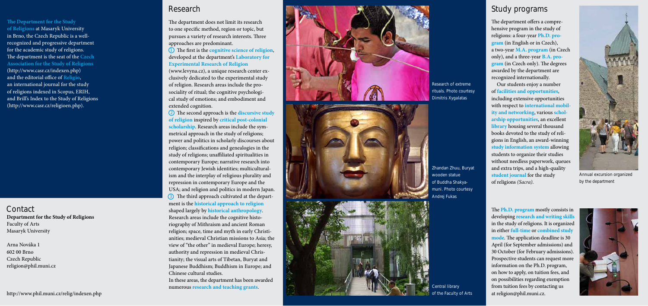**The Department for the Study of Religions** at Masaryk University in Brno, the Czech Republic is a wellrecognized and progressive department for the academic study of religions.<br>The department is the seat of the **Czech Association for the Study of Religions** (http://www.casr.cz/indexen.php) and the editorial office of **Religio**, an international journal for the study of religions indexed in Scopus, ERIH, and Brill's Index to the Study of Religions (http://www.casr.cz/religioen.php).

The department does not limit its research to one specific method, region or topic, but pursues a variety of research interests. Three approaches are predominant.

(1) The first is the **cognitive science of religion**, developed at the department's **Laboratory for Experimental Research of Religion**

**Department for the Study of Religions** Faculty of Arts Masaryk University **Contact**

Arna Nováka 1 602 00 Brno Czech Republic religion@phil.muni.cz

http://www.phil.muni.cz/relig/indexen.php

(www.levyna.cz), a unique research center exclusively dedicated to the experimental study of religion. Research areas include the prosociality of ritual; the cognitive psychological study of emotions; and embodiment and extended cognition.

(2) The second approach is the **discursive study of religion** inspired by **critical post-colonial scholarship**. Research areas include the symmetrical approach in the study of religions; power and politics in scholarly discourses about religion; classifications and genealogies in the study of religions; unaffiliated spiritualities in contemporary Europe; narrative research into contemporary Jewish identities; multiculturalism and the interplay of religious plurality and repression in contemporary Europe and the USA; and religion and politics in modern Japan. **3** The third approach cultivated at the department is the **historical approach to religion** shaped largely by **historical anthropology** . Research areas include the cognitive historiography of Mithraism and ancient Roman religion; space, time and myth in early Christianities; medieval Christian missions to Asia; the view of "the other" in medieval Europe; heresy, authority and repression in medieval Christianity; the visual arts of Tibetan, Buryat and Japanese Buddhism; Buddhism in Europe; and Chinese cultural studies. In these areas, the department has been awarded numerous **research and teaching grants** . **123**







The department offers a comprehensive program in the study of religions: a four-year **Ph.D. program** (in English or in Czech), a two-year **M.A. program** (in Czech only), and a three-year **B.A. program** (in Czech only). The degrees awarded by the department are recognized internationally.

The **Ph.D. program** mostly consists in developing **research and writing skills** in the study of religions. It is organized in either **full-time** or **combined study**  mode. The application deadline is 30 April (for September admissions) and 30 October (for February admissions). Prospective students can request more information on the Ph.D. program, on how to apply, on tuition fees, and on possibilities regarding exemption from tuition fees by contacting us at religion@phil.muni.cz.



#### **Research**

## **Study programs**

 Our students enjoy a number of **facilities and opportunities**, including extensive opportunities with respect to **international mobility and networking**, various **scholarship opportunities**, an excellent **library** housing several thousand books devoted to the study of religions in English, an award-winning **study information system** allowing students to organize their studies without needless paperwork, queues and extra trips, and a high-quality **student journal** for the study of religions *(Sacra)* .



**Annual excursion organized by the department**

**Research of extreme rituals. Photo courtesy Dimitris Xygalatas**

**Central library of the Faculty of Arts**

**Zhandan Zhuu, Buryat wooden statue of Buddha Shakyamuni. Photo courtesy Andrej Fukas**